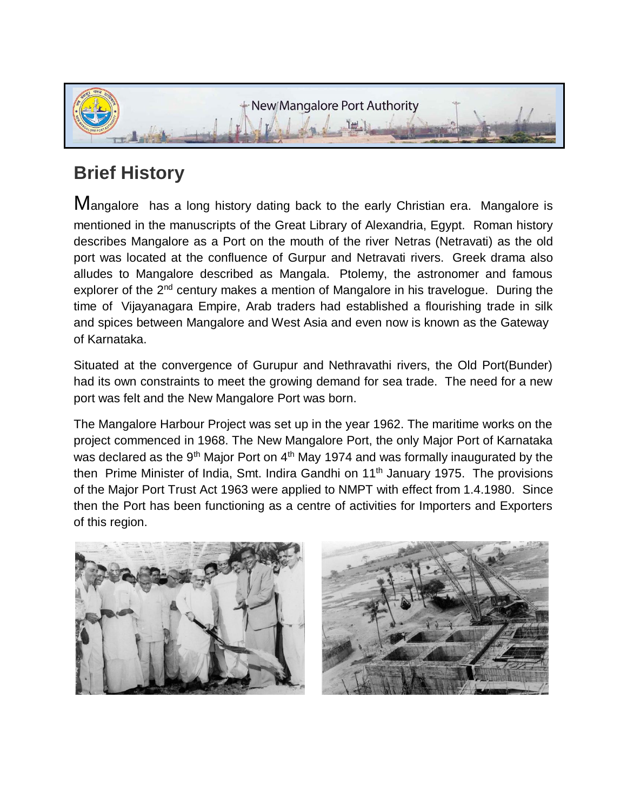

## **Brief History**

Mangalore has a long history dating back to the early Christian era. Mangalore is mentioned in the manuscripts of the Great Library of Alexandria, Egypt. Roman history describes Mangalore as a Port on the mouth of the river Netras (Netravati) as the old port was located at the confluence of Gurpur and Netravati rivers. Greek drama also alludes to Mangalore described as Mangala. Ptolemy, the astronomer and famous explorer of the 2<sup>nd</sup> century makes a mention of Mangalore in his travelogue. During the time of Vijayanagara Empire, Arab traders had established a flourishing trade in silk and spices between Mangalore and West Asia and even now is known as the Gateway of Karnataka.

Situated at the convergence of Gurupur and Nethravathi rivers, the Old Port(Bunder) had its own constraints to meet the growing demand for sea trade. The need for a new port was felt and the New Mangalore Port was born.

The Mangalore Harbour Project was set up in the year 1962. The maritime works on the project commenced in 1968. The New Mangalore Port, the only Major Port of Karnataka was declared as the 9<sup>th</sup> Major Port on  $4<sup>th</sup>$  May 1974 and was formally inaugurated by the then Prime Minister of India, Smt. Indira Gandhi on  $11<sup>th</sup>$  January 1975. The provisions of the Major Port Trust Act 1963 were applied to NMPT with effect from 1.4.1980. Since then the Port has been functioning as a centre of activities for Importers and Exporters of this region.